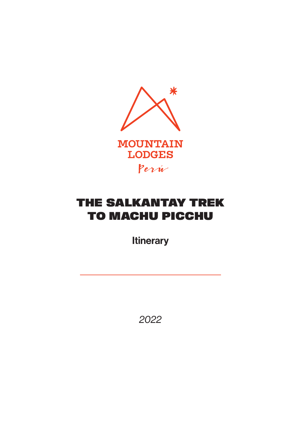

# THE SALKANTAY TREK TO MACHU PICCHU

**Itinerary** 

*2022*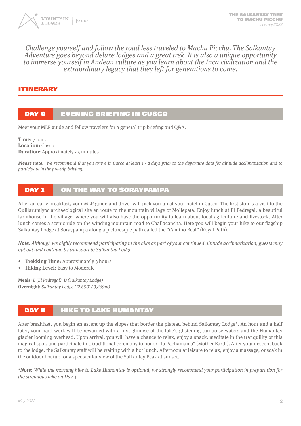

#### Challenge yourself and follow the road less traveled to Machu Picchu. The Salkantay Adventure goes beyond deluxe lodges and a great trek. It is also a unique opportunity to immerse yourself in Andean culture as you learn about the Inca civilization and the extraordinary legacy that they left for generations to come.

#### ITINERARY

#### DAY O **EVENING BRIEFING IN CUSCO**

Meet your MLP guide and fellow travelers for a general trip briefing and Q&A.

**Time:** 7 p.m. **Location:** Cusco **Duration:** Approximately 45 minutes

**Please note:** We recommend that you arrive in Cusco at least 1 - 2 days prior to the departure date for altitude acclimatization and to participate in the pre-trip briefing.

#### DAY 1 ON THE WAY TO SORAYPAMPA

After an early breakfast, your MLP guide and driver will pick you up at your hotel in Cusco. The first stop is a visit to the Quillarumiyoc archaeological site en route to the mountain village of Mollepata. Enjoy lunch at El Pedregal, a beautiful farmhouse in the village, where you will also have the opportunity to learn about local agriculture and livestock. After lunch comes a scenic ride on the winding mountain road to Challacancha. Here you will begin your hike to our flagship Salkantay Lodge at Soraypampa along a picturesque path called the "Camino Real" (Royal Path).

**Note:** Although we highly recommend participating in the hike as part of your continued altitude acclimatization, guests may opt out and continue by transport to Salkantay Lodge.

- **• Trekking Time:** Approximately 3 hours
- **• Hiking Level:** Easy to Moderate

**Meals:** L (El Pedregal), D (Salkantay Lodge) **Overnight:** Salkantay Lodge (12,690' / 3,869m)

# DAY 2 **HIKE TO LAKE HUMANTAY**

After breakfast, you begin an ascent up the slopes that border the plateau behind Salkantay Lodge\*. An hour and a half later, your hard work will be rewarded with a first glimpse of the lake's glistening turquoise waters and the Humantay glacier looming overhead. Upon arrival, you will have a chance to relax, enjoy a snack, meditate in the tranquility of this magical spot, and participate in a traditional ceremony to honor "la Pachamama" (Mother Earth). After your descent back to the lodge, the Salkantay staff will be waiting with a hot lunch. Afternoon at leisure to relax, enjoy a massage, or soak in the outdoor hot tub for a spectacular view of the Salkantay Peak at sunset.

\***Note:** While the morning hike to Lake Humantay is optional, we strongly recommend your participation in preparation for the strenuous hike on Day 3.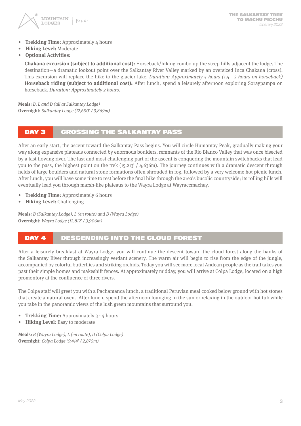

- **Frekking Time:** Approximately 4 hours
- **• Hiking Level:** Moderate
- **• Optional Activities:**

**Chakana excursion (subject to additional cost):** Horseback/hiking combo up the steep hills adjacent the lodge. The destination—a dramatic lookout point over the Salkantay River Valley marked by an oversized Inca Chakana (cross). This excursion will replace the hike to the glacier lake. Duration: Approximately 5 hours (1.5 - 2 hours on horseback) **Horseback riding (subject to additional cost):** After lunch, spend a leisurely afternoon exploring Soraypampa on horseback. Duration: Approximately 2 hours.

**Meals:** B, L and D (all at Salkantay Lodge) **Overnight:** Salkantay Lodge (12,690' / 3,869m)

#### DAY 3 CROSSING THE SALKANTAY PASS

After an early start, the ascent toward the Salkantay Pass begins. You will circle Humantay Peak, gradually making your way along expansive plateaus connected by enormous boulders, remnants of the Rio Blanco Valley that was once bisected by a fast-flowing river. The last and most challenging part of the ascent is conquering the mountain switchbacks that lead you to the pass, the highest point on the trek (15,213' / 4,636m). The journey continues with a dramatic descent through fields of large boulders and natural stone formations often shrouded in fog, followed by a very welcome hot picnic lunch. After lunch, you will have some time to rest before the final hike through the area's bucolic countryside; its rolling hills will eventually lead you through marsh-like plateaus to the Wayra Lodge at Wayraccmachay.

- **• Trekking Time:** Approximately 6 hours
- **• Hiking Level:** Challenging

**Meals:** B (Salkantay Lodge), L (en route) and D (Wayra Lodge) **Overnight:** Wayra Lodge (12,812' / 3,906m)

## DAY 4 DESCENDING INTO THE CLOUD FOREST

After a leisurely breakfast at Wayra Lodge, you will continue the descent toward the cloud forest along the banks of the Salkantay River through increasingly verdant scenery. The warm air will begin to rise from the edge of the jungle, accompanied by colorful butterflies and striking orchids. Today you will see more local Andean people as the trail takes you past their simple homes and makeshift fences. At approximately midday, you will arrive at Colpa Lodge, located on a high promontory at the confluence of three rivers.

The Colpa staff will greet you with a Pachamanca lunch, a traditional Peruvian meal cooked below ground with hot stones that create a natural oven. After lunch, spend the afternoon lounging in the sun or relaxing in the outdoor hot tub while you take in the panoramic views of the lush green mountains that surround you.

- **• Trekking Time:** Approximately 3 4 hours
- **• Hiking Level:** Easy to moderate

**Meals:** B (Wayra Lodge), L (en route), D (Colpa Lodge) **Overnight:** Colpa Lodge (9,414' / 2,870m)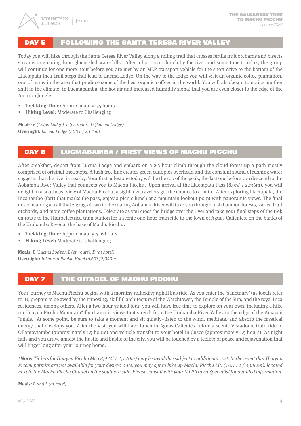# DAY 5 FOLLOWING THE SANTA TERESA RIVER VALLEY

Today you will hike through the Santa Teresa River Valley along a rolling trail that crosses fertile fruit orchards and bisects streams originating from glacier-fed waterfalls. After a hot picnic lunch by the river and some time to relax, the group will continue for one more hour before you are met by an MLP transport vehicle for the short drive to the bottom of the Llactapata Inca Trail steps that lead to Lucma Lodge. On the way to the lodge you will visit an organic coffee plantation, one of many in the area that produce some of the best organic coffees in the world. You will also begin to notice another shift in the climate; in Lucmabamba, the hot air and increased humidity signal that you are even closer to the edge of the Amazon Jungle.

- **• Trekking Time:** Approximately 5.5 hours
- **• Hiking Level:** Moderate to Challenging

**Meals:** B (Colpa Lodge), L (en route), D (Lucma Lodge) **Overnight:** Lucma Lodge (7,003' / 2,135m)

# DAY 6 LUCMABAMBA / FIRST VIEWS OF MACHU PICCHU

After breakfast, depart from Lucma Lodge and embark on a 2-3 hour climb through the cloud forest up a path mostly comprised of original Inca steps. A lush tree line creates green canopies overhead and the constant sound of rushing water suggests that the river is nearby. Your first milestone today will be the top of the peak, the last one before you descend to the Aobamba River Valley that connects you to Machu Picchu. Upon arrival at the Llactapata Pass (8,974' / 2,736m), you will delight in a southeast view of Machu Picchu, a sight few travelers get the chance to admire. After exploring Llactapata, the Inca tambo (fort) that marks the pass, enjoy a picnic lunch at a mountain lookout point with panoramic views. The final descent along a trail that zigzags down to the roaring Aobamba River will take you through lush bamboo forests, varied fruit orchards, and more coffee plantations. Celebrate as you cross the bridge over the river and take your final steps of the trek en route to the Hidroelectrica train station for a scenic one-hour train ride to the town of Aguas Calientes, on the banks of the Urubamba River at the base of Machu Picchu.

- **Frekking Time:** Approximately 4–6 hours
- **• Hiking Level:** Moderate to Challenging

**Meals:** B (Lucma Lodge), L (en route), D (at hotel) **Overnight:** Inkaterra Pueblo Hotel (6,693'/2,040m)

## DAY 7 THE CITADEL OF MACHU PICCHU

Your journey to Machu Picchu begins with a morning rollicking uphill bus ride. As you enter the 'sanctuary' (as locals refer to it), prepare to be awed by the imposing, skillful architecture of the Watchtower, the Temple of the Sun, and the royal Inca residences, among others. After a two-hour guided tour, you will have free time to explore on your own, including a hike up Huayna Picchu Mountain\* for dramatic views that stretch from the Urubamba River Valley to the edge of the Amazon Jungle. At some point, be sure to take a moment and sit quietly–listen to the wind, meditate, and absorb the mystical energy that envelops you. After the visit you will have lunch in Aguas Calientes before a scenic Vistadome train ride to Ollantaytambo (approximately 1.5 hours) and vehicle transfer to your hotel in Cusco (approximately 1.5 hours). As night falls and you arrive amidst the hustle and bustle of the city, you will be touched by a feeling of peace and rejuvenation that will linger long after your journey home.

**\*Note:** Tickets for Huayna Picchu Mt. (8,924' / 2,720m) may be available subject to additional cost. In the event that Huayna Picchu permits are not available for your desired date, you may opt to hike up Machu Picchu Mt. (10,112 / 3,082m), located next to the Machu Picchu Citadel on the southern side. Please consult with your MLP Travel Specialist for detailed information.

**Meals:** B and L (at hotel)